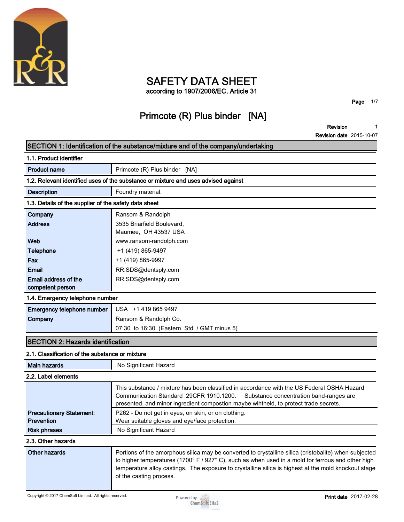

## **SAFETY DATA SHEET**

**according to 1907/2006/EC, Article 31**

**Page 1/7**

## **Primcote (R) Plus binder [NA]**

**Revision 1**

| SECTION 1: Identification of the substance/mixture and of the company/undertaking  |                                                                                                                                                                                                                                                                                                                                               |  |  |  |
|------------------------------------------------------------------------------------|-----------------------------------------------------------------------------------------------------------------------------------------------------------------------------------------------------------------------------------------------------------------------------------------------------------------------------------------------|--|--|--|
| 1.1. Product identifier                                                            |                                                                                                                                                                                                                                                                                                                                               |  |  |  |
| <b>Product name</b>                                                                | Primcote (R) Plus binder [NA]                                                                                                                                                                                                                                                                                                                 |  |  |  |
| 1.2. Relevant identified uses of the substance or mixture and uses advised against |                                                                                                                                                                                                                                                                                                                                               |  |  |  |
| <b>Description</b>                                                                 | Foundry material.                                                                                                                                                                                                                                                                                                                             |  |  |  |
| 1.3. Details of the supplier of the safety data sheet                              |                                                                                                                                                                                                                                                                                                                                               |  |  |  |
| Company                                                                            | Ransom & Randolph                                                                                                                                                                                                                                                                                                                             |  |  |  |
| <b>Address</b>                                                                     | 3535 Briarfield Boulevard,<br>Maumee, OH 43537 USA                                                                                                                                                                                                                                                                                            |  |  |  |
| Web                                                                                | www.ransom-randolph.com                                                                                                                                                                                                                                                                                                                       |  |  |  |
| <b>Telephone</b>                                                                   | +1 (419) 865-9497                                                                                                                                                                                                                                                                                                                             |  |  |  |
| Fax                                                                                | +1 (419) 865-9997                                                                                                                                                                                                                                                                                                                             |  |  |  |
| <b>Email</b>                                                                       | RR.SDS@dentsply.com                                                                                                                                                                                                                                                                                                                           |  |  |  |
| Email address of the<br>competent person                                           | RR.SDS@dentsply.com                                                                                                                                                                                                                                                                                                                           |  |  |  |
| 1.4. Emergency telephone number                                                    |                                                                                                                                                                                                                                                                                                                                               |  |  |  |
| Emergency telephone number                                                         | USA +1 419 865 9497                                                                                                                                                                                                                                                                                                                           |  |  |  |
| Company                                                                            | Ransom & Randolph Co.                                                                                                                                                                                                                                                                                                                         |  |  |  |
|                                                                                    | 07:30 to 16:30 (Eastern Std. / GMT minus 5)                                                                                                                                                                                                                                                                                                   |  |  |  |
| <b>SECTION 2: Hazards identification</b>                                           |                                                                                                                                                                                                                                                                                                                                               |  |  |  |
| 2.1. Classification of the substance or mixture                                    |                                                                                                                                                                                                                                                                                                                                               |  |  |  |
| <b>Main hazards</b>                                                                | No Significant Hazard                                                                                                                                                                                                                                                                                                                         |  |  |  |
| 2.2. Label elements                                                                |                                                                                                                                                                                                                                                                                                                                               |  |  |  |
|                                                                                    | This substance / mixture has been classified in accordance with the US Federal OSHA Hazard<br>Communication Standard 29CFR 1910.1200.<br>Substance concentration band-ranges are<br>presented, and minor ingredient compostion maybe wihtheld, to protect trade secrets.                                                                      |  |  |  |
| <b>Precautionary Statement:</b>                                                    | P262 - Do not get in eyes, on skin, or on clothing.                                                                                                                                                                                                                                                                                           |  |  |  |
| <b>Prevention</b>                                                                  | Wear suitable gloves and eye/face protection.                                                                                                                                                                                                                                                                                                 |  |  |  |
| <b>Risk phrases</b>                                                                | No Significant Hazard                                                                                                                                                                                                                                                                                                                         |  |  |  |
| 2.3. Other hazards                                                                 |                                                                                                                                                                                                                                                                                                                                               |  |  |  |
| <b>Other hazards</b>                                                               | Portions of the amorphous silica may be converted to crystalline silica (cristobalite) when subjected<br>to higher temperatures (1700° F / 927° C), such as when used in a mold for ferrous and other high<br>temperature alloy castings. The exposure to crystalline silica is highest at the mold knockout stage<br>of the casting process. |  |  |  |

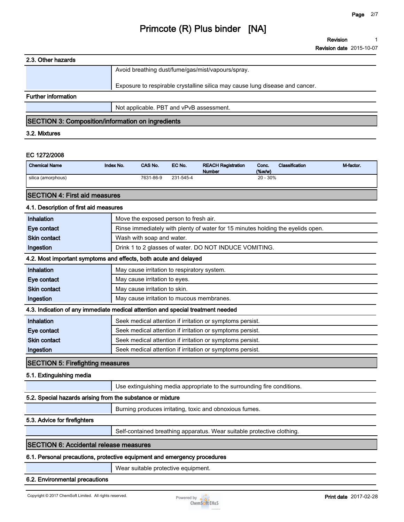**Revision 1**

**Revision date 2015-10-07**

#### **2.3. Other hazards**

|                                                           | Avoid breathing dust/fume/gas/mist/vapours/spray.                                                               |
|-----------------------------------------------------------|-----------------------------------------------------------------------------------------------------------------|
|                                                           | Exposure to respirable crystalline silica may cause lung disease and cancer.                                    |
| <b>Further information</b>                                |                                                                                                                 |
|                                                           | Not applicable. PBT and vPvB assessment.                                                                        |
|                                                           |                                                                                                                 |
| <b><i><u>But all But all and the second parts</u></i></b> | the contract of the contract of the contract of the contract of the contract of the contract of the contract of |

#### **SECTION 3: Composition/information on ingredients**

#### **3.2. Mixtures**

#### **EC 1272/2008**

| <b>Chemical Name</b> | Index No. | <b>CAS No.</b> | EC No.    | <b>REACH Registration</b><br><b>Number</b> | Conc.<br>(% | <b>Classification</b> | M-factor |
|----------------------|-----------|----------------|-----------|--------------------------------------------|-------------|-----------------------|----------|
| silica (amorphous)   |           | 7631-86-9      | 231-545-4 |                                            | $20 - 30\%$ |                       |          |

### **SECTION 4: First aid measures**

#### **4.1. Description of first aid measures**

| Inhalation          | Move the exposed person to fresh air.                                           |
|---------------------|---------------------------------------------------------------------------------|
| Eve contact         | Rinse immediately with plenty of water for 15 minutes holding the eyelids open. |
| <b>Skin contact</b> | Wash with soap and water.                                                       |
| Ingestion           | Drink 1 to 2 glasses of water. DO NOT INDUCE VOMITING.                          |

### **4.2. Most important symptoms and effects, both acute and delayed**

| <b>T.L.</b> MOST IMPORTED SYMPTOMS GIRL UNCOLS, DOLL GOULD GIRL GUIDYOU         |                                                           |  |  |  |
|---------------------------------------------------------------------------------|-----------------------------------------------------------|--|--|--|
| <b>Inhalation</b>                                                               | May cause irritation to respiratory system.               |  |  |  |
| Eye contact                                                                     | May cause irritation to eyes.                             |  |  |  |
| <b>Skin contact</b>                                                             | May cause irritation to skin.                             |  |  |  |
| Ingestion                                                                       | May cause irritation to mucous membranes.                 |  |  |  |
| 4.3. Indication of any immediate medical attention and special treatment needed |                                                           |  |  |  |
| <b>Inhalation</b>                                                               | Seek medical attention if irritation or symptoms persist. |  |  |  |
| Eye contact                                                                     | Seek medical attention if irritation or symptoms persist. |  |  |  |
| <b>Skin contact</b>                                                             | Seek medical attention if irritation or symptoms persist. |  |  |  |
|                                                                                 |                                                           |  |  |  |

### **SECTION 5: Firefighting measures**

#### **5.1. Extinguishing media**

**Use extinguishing media appropriate to the surrounding fire conditions.**

## **5.2. Special hazards arising from the substance or mixture**

**Burning produces irritating, toxic and obnoxious fumes.**

### **5.3. Advice for firefighters**

**Self-contained breathing apparatus. Wear suitable protective clothing.**

### **SECTION 6: Accidental release measures**

## **6.1. Personal precautions, protective equipment and emergency procedures**

**Ingestion Seek medical attention if irritation or symptoms persist.** 

**Wear suitable protective equipment.**

## **6.2. Environmental precautions**

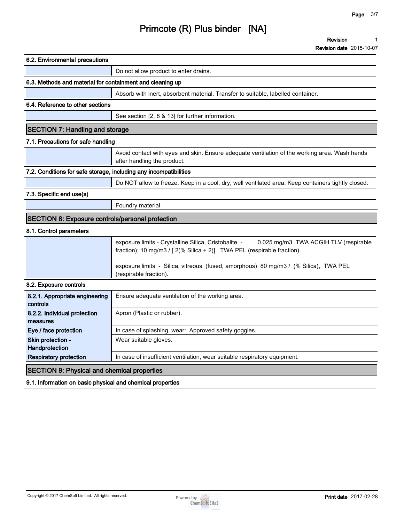**Revision 1**

| 6.2. Environmental precautions                                    |                                                                                                                                                                          |
|-------------------------------------------------------------------|--------------------------------------------------------------------------------------------------------------------------------------------------------------------------|
|                                                                   | Do not allow product to enter drains.                                                                                                                                    |
| 6.3. Methods and material for containment and cleaning up         |                                                                                                                                                                          |
|                                                                   | Absorb with inert, absorbent material. Transfer to suitable, labelled container.                                                                                         |
| 6.4. Reference to other sections                                  |                                                                                                                                                                          |
|                                                                   | See section [2, 8 & 13] for further information.                                                                                                                         |
| <b>SECTION 7: Handling and storage</b>                            |                                                                                                                                                                          |
| 7.1. Precautions for safe handling                                |                                                                                                                                                                          |
|                                                                   | Avoid contact with eyes and skin. Ensure adequate ventilation of the working area. Wash hands<br>after handling the product.                                             |
| 7.2. Conditions for safe storage, including any incompatibilities |                                                                                                                                                                          |
|                                                                   | Do NOT allow to freeze. Keep in a cool, dry, well ventilated area. Keep containers tightly closed.                                                                       |
| 7.3. Specific end use(s)                                          |                                                                                                                                                                          |
|                                                                   | Foundry material.                                                                                                                                                        |
| <b>SECTION 8: Exposure controls/personal protection</b>           |                                                                                                                                                                          |
| 8.1. Control parameters                                           |                                                                                                                                                                          |
|                                                                   | exposure limits - Crystalline Silica, Cristobalite -<br>0.025 mg/m3 TWA ACGIH TLV (respirable<br>fraction); 10 mg/m3 / [ 2(% Silica + 2)] TWA PEL (respirable fraction). |
|                                                                   | exposure limits - Silica, vitreous (fused, amorphous) 80 mg/m3 / (% Silica), TWA PEL<br>(respirable fraction).                                                           |
| 8.2. Exposure controls                                            |                                                                                                                                                                          |
| 8.2.1. Appropriate engineering<br>controls                        | Ensure adequate ventilation of the working area.                                                                                                                         |
| 8.2.2. Individual protection<br>measures                          | Apron (Plastic or rubber).                                                                                                                                               |
| Eye / face protection                                             | In case of splashing, wear:. Approved safety goggles.                                                                                                                    |
| Skin protection -<br>Handprotection                               | Wear suitable gloves.                                                                                                                                                    |
| <b>Respiratory protection</b>                                     | In case of insufficient ventilation, wear suitable respiratory equipment.                                                                                                |
| <b>SECTION 9: Physical and chemical properties</b>                |                                                                                                                                                                          |
| 9.1. Information on basic physical and chemical properties        |                                                                                                                                                                          |

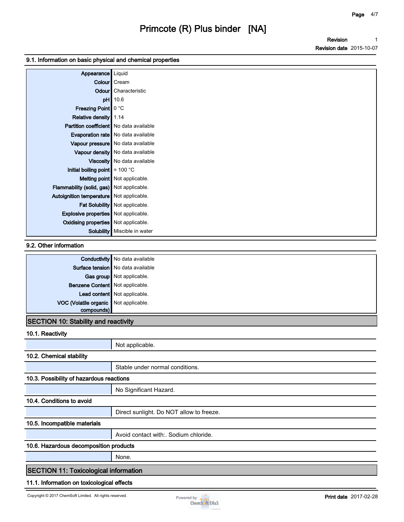**Revision Revision date 2015-10-07 1**

#### **9.1. Information on basic physical and chemical properties**

| Appearance                                  | Liquid                               |
|---------------------------------------------|--------------------------------------|
|                                             | Colour   Cream                       |
|                                             | Odour   Characteristic               |
| pH                                          | 10.6                                 |
| Freezing Point   0 °C                       |                                      |
| Relative density 1.14                       |                                      |
| Partition coefficient   No data available   |                                      |
|                                             | Evaporation rate   No data available |
|                                             | Vapour pressure   No data available  |
|                                             | Vapour density   No data available   |
|                                             | Viscosity   No data available        |
| Initial boiling point $\approx 100$ °C      |                                      |
|                                             | <b>Melting point</b> Not applicable. |
| Flammability (solid, gas) Not applicable.   |                                      |
| Autoignition temperature   Not applicable.  |                                      |
|                                             | Fat Solubility Not applicable.       |
| <b>Explosive properties</b> Not applicable. |                                      |
| Oxidising properties   Not applicable.      |                                      |
|                                             | Solubility   Miscible in water       |

#### **9.2. Other information**

|                                       | <b>Conductivity</b> No data available |
|---------------------------------------|---------------------------------------|
|                                       | Surface tension   No data available   |
|                                       | Gas group Not applicable.             |
| Benzene Content Not applicable.       |                                       |
|                                       | Lead content Not applicable.          |
| VOC (Volatile organic Not applicable. |                                       |
| compounds)                            |                                       |

## **SECTION 10: Stability and reactivity**

### **10.1. Reactivity**

|                                              | Not applicable.                          |  |  |  |
|----------------------------------------------|------------------------------------------|--|--|--|
| 10.2. Chemical stability                     |                                          |  |  |  |
|                                              | Stable under normal conditions.          |  |  |  |
| 10.3. Possibility of hazardous reactions     |                                          |  |  |  |
|                                              | No Significant Hazard.                   |  |  |  |
| 10.4. Conditions to avoid                    |                                          |  |  |  |
|                                              | Direct sunlight. Do NOT allow to freeze. |  |  |  |
| 10.5. Incompatible materials                 |                                          |  |  |  |
|                                              | Avoid contact with: Sodium chloride.     |  |  |  |
| 10.6. Hazardous decomposition products       |                                          |  |  |  |
|                                              | None.                                    |  |  |  |
| <b>SECTION 11: Toxicological information</b> |                                          |  |  |  |
| 11.1. Information on toxicological effects   |                                          |  |  |  |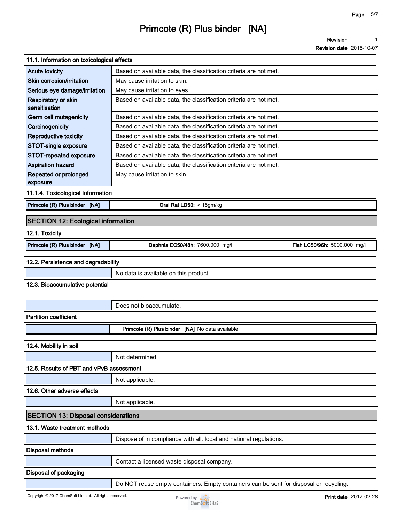**Revision 1**

| 11.1. Information on toxicological effects              |                                                                                        |                              |
|---------------------------------------------------------|----------------------------------------------------------------------------------------|------------------------------|
| <b>Acute toxicity</b>                                   | Based on available data, the classification criteria are not met.                      |                              |
| Skin corrosion/irritation                               | May cause irritation to skin.                                                          |                              |
| Serious eye damage/irritation                           | May cause irritation to eyes.                                                          |                              |
| Respiratory or skin<br>sensitisation                    | Based on available data, the classification criteria are not met.                      |                              |
| Germ cell mutagenicity                                  | Based on available data, the classification criteria are not met.                      |                              |
| Carcinogenicity                                         | Based on available data, the classification criteria are not met.                      |                              |
| <b>Reproductive toxicity</b>                            | Based on available data, the classification criteria are not met.                      |                              |
| <b>STOT-single exposure</b>                             | Based on available data, the classification criteria are not met.                      |                              |
| STOT-repeated exposure                                  | Based on available data, the classification criteria are not met.                      |                              |
| <b>Aspiration hazard</b>                                | Based on available data, the classification criteria are not met.                      |                              |
| Repeated or prolonged<br>exposure                       | May cause irritation to skin.                                                          |                              |
| 11.1.4. Toxicological Information                       |                                                                                        |                              |
| Primcote (R) Plus binder [NA]                           | Oral Rat LD50: > 15gm/kg                                                               |                              |
| <b>SECTION 12: Ecological information</b>               |                                                                                        |                              |
| 12.1. Toxicity                                          |                                                                                        |                              |
| Primcote (R) Plus binder [NA]                           | Daphnia EC50/48h: 7600.000 mg/l                                                        | Fish LC50/96h: 5000.000 mg/l |
| 12.2. Persistence and degradability                     |                                                                                        |                              |
|                                                         | No data is available on this product.                                                  |                              |
| 12.3. Bioaccumulative potential                         |                                                                                        |                              |
|                                                         |                                                                                        |                              |
|                                                         | Does not bioaccumulate.                                                                |                              |
| <b>Partition coefficient</b>                            |                                                                                        |                              |
|                                                         | Primcote (R) Plus binder [NA] No data available                                        |                              |
|                                                         |                                                                                        |                              |
| 12.4. Mobility in soil                                  |                                                                                        |                              |
|                                                         | Not determined.                                                                        |                              |
| 12.5. Results of PBT and vPvB assessment                |                                                                                        |                              |
|                                                         | Not applicable.                                                                        |                              |
| 12.6. Other adverse effects                             |                                                                                        |                              |
|                                                         | Not applicable.                                                                        |                              |
| <b>SECTION 13: Disposal considerations</b>              |                                                                                        |                              |
| 13.1. Waste treatment methods                           |                                                                                        |                              |
|                                                         | Dispose of in compliance with all. local and national regulations.                     |                              |
| <b>Disposal methods</b>                                 |                                                                                        |                              |
|                                                         | Contact a licensed waste disposal company.                                             |                              |
| Disposal of packaging                                   |                                                                                        |                              |
|                                                         | Do NOT reuse empty containers. Empty containers can be sent for disposal or recycling. |                              |
| Copyright © 2017 ChemSoft Limited. All rights reserved. | Powered by $\bullet$ $\bullet$<br><b>ChemSoft EH&amp;S</b>                             | <b>Print date</b> 2017-02-28 |

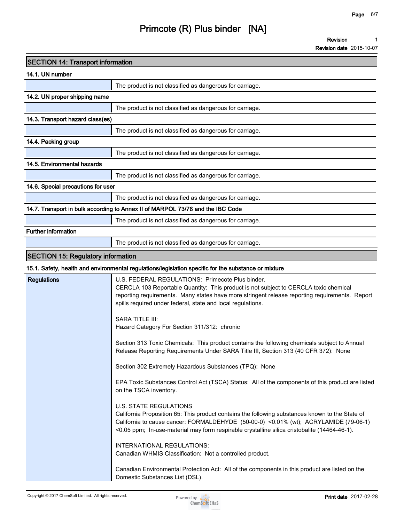**Revision 1**